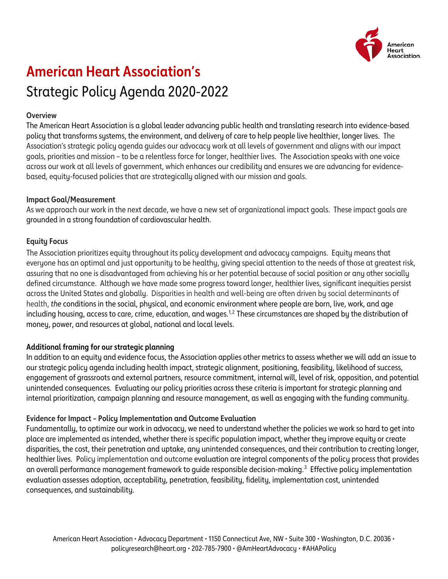

# **American Heart Association's** Strategic Policy Agenda 2020-2022

#### **Overview**

The American Heart Association is a global leader advancing public health and translating research into evidence-based policy that transforms systems, the environment, and delivery of care to help people live healthier, longer lives. The Association's strategic policy agenda guides our advocacy work at all levels of government and aligns with our impact goals, priorities and mission – to be a relentless force for longer, healthier lives. The Association speaks with one voice across our work at all levels of government, which enhances our credibility and ensures we are advancing for evidencebased, equity-focused policies that are strategically aligned with our mission and goals.

#### **Impact Goal/Measurement**

As we approach our work in the next decade, we have a new set of organizational impact goals. These impact goals are grounded in a strong foundation of cardiovascular health.

## **Equity Focus**

The Association prioritizes equity throughout its policy development and advocacy campaigns. Equity means that everyone has an optimal and just opportunity to be healthy, giving special attention to the needs of those at greatest risk, assuring that no one is disadvantaged from achieving his or her potential because of social position or any other socially defined circumstance. Although we have made some progress toward longer, healthier lives, significant inequities persist across the United States and globally. Disparities in health and well-being are often driven by social determinants of health, *the* conditions in the social, physical, and economic environment where people are born, live, work, and age including housing, access to care, crime, education, and wages.<sup>[1](#page-1-0),2</sup> These circumstances are shaped by the distribution of money, power, and resources at global, national and local levels.

## **Additional framing for our strategic planning**

In addition to an equity and evidence focus, the Association applies other metrics to assess whether we will add an issue to our strategic policy agenda including health impact, strategic alignment, positioning, feasibility, likelihood of success, engagement of grassroots and external partners, resource commitment, internal will, level of risk, opposition, and potential unintended consequences. Evaluating our policy priorities across these criteria is important for strategic planning and internal prioritization, campaign planning and resource management, as well as engaging with the funding community.

## **Evidence for Impact – Policy Implementation and Outcome Evaluation**

Fundamentally, to optimize our work in advocacy, we need to understand whether the policies we work so hard to get into place are implemented as intended, whether there is specific population impact, whether they improve equity or create disparities, the cost, their penetration and uptake, any unintended consequences, and their contribution to creating longer, healthier lives. Policy implementation and outcome evaluation are integral components of the policy process that provides an overall performance management framework to quide responsible decision-making.<sup>[3](#page-1-2)</sup> Effective policy implementation evaluation assesses adoption, acceptability, penetration, feasibility, fidelity, implementation cost, unintended consequences, and sustainability.